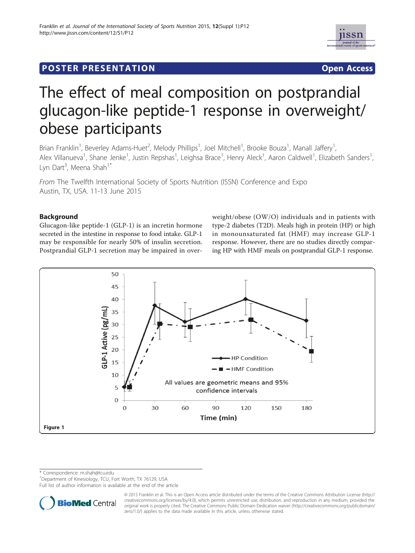

# **POSTER PRESENTATION CONSUMING THE SERVICE SERVICE SERVICES**



# The effect of meal composition on postprandial glucagon-like peptide-1 response in overweight/ obese participants

Brian Franklin<sup>1</sup>, Beverley Adams-Huet<sup>2</sup>, Melody Phillips<sup>1</sup>, Joel Mitchell<sup>1</sup>, Brooke Bouza<sup>1</sup>, Manall Jaffery<sup>1</sup> , Alex Villanueva<sup>1</sup>, Shane Jenke<sup>1</sup>, Justin Repshas<sup>1</sup>, Leighsa Brace<sup>1</sup>, Henry Aleck<sup>1</sup>, Aaron Caldwell<sup>1</sup>, Elizabeth Sanders<sup>1</sup> , Lyn Dart<sup>3</sup>, Meena Shah<sup>1\*</sup>

From The Twelfth International Society of Sports Nutrition (ISSN) Conference and Expo Austin, TX, USA. 11-13 June 2015

## Background

Glucagon-like peptide-1 (GLP-1) is an incretin hormone secreted in the intestine in response to food intake. GLP-1 may be responsible for nearly 50% of insulin secretion. Postprandial GLP-1 secretion may be impaired in overweight/obese (OW/O) individuals and in patients with type-2 diabetes (T2D). Meals high in protein (HP) or high in monounsaturated fat (HMF) may increase GLP-1 response. However, there are no studies directly comparing HP with HMF meals on postprandial GLP-1 response.



\* Correspondence: m.shah@tcu.edu

<sup>1</sup>Department of Kinesiology, TCU, Fort Worth, TX 76129, USA

Full list of author information is available at the end of the article



<sup>© 2015</sup> Franklin et al. This is an Open Access article distributed under the terms of the Creative Commons Attribution License (http:// creativecommons.org/licenses/by/4.0), which permits unrestricted use, distribution, and reproduction in any medium, provided the original work is properly cited. The Creative Commons Public Domain Dedication waiver (http://creativecommons.org/publicdomain/ zero/1.0/) applies to the data made available in this article, unless otherwise stated.